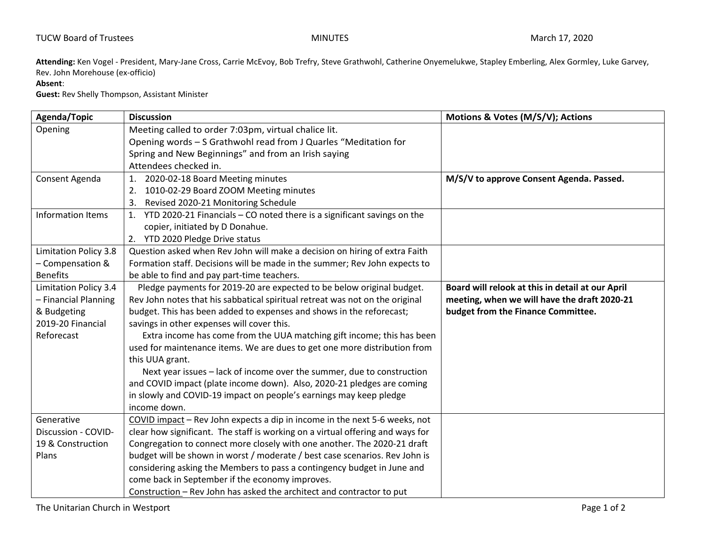**Attending:** Ken Vogel - President, Mary-Jane Cross, Carrie McEvoy, Bob Trefry, Steve Grathwohl, Catherine Onyemelukwe, Stapley Emberling, Alex Gormley, Luke Garvey, Rev. John Morehouse (ex-officio)

## **Absent**:

**Guest:** Rev Shelly Thompson, Assistant Minister

| <b>Agenda/Topic</b>          | <b>Discussion</b>                                                              | Motions & Votes (M/S/V); Actions                 |
|------------------------------|--------------------------------------------------------------------------------|--------------------------------------------------|
| Opening                      | Meeting called to order 7:03pm, virtual chalice lit.                           |                                                  |
|                              | Opening words - S Grathwohl read from J Quarles "Meditation for                |                                                  |
|                              | Spring and New Beginnings" and from an Irish saying                            |                                                  |
|                              | Attendees checked in.                                                          |                                                  |
| Consent Agenda               | 1.<br>2020-02-18 Board Meeting minutes                                         | M/S/V to approve Consent Agenda. Passed.         |
|                              | 1010-02-29 Board ZOOM Meeting minutes<br>2.                                    |                                                  |
|                              | Revised 2020-21 Monitoring Schedule<br>3.                                      |                                                  |
| <b>Information Items</b>     | YTD 2020-21 Financials - CO noted there is a significant savings on the<br>1.  |                                                  |
|                              | copier, initiated by D Donahue.                                                |                                                  |
|                              | 2. YTD 2020 Pledge Drive status                                                |                                                  |
| <b>Limitation Policy 3.8</b> | Question asked when Rev John will make a decision on hiring of extra Faith     |                                                  |
| - Compensation &             | Formation staff. Decisions will be made in the summer; Rev John expects to     |                                                  |
| <b>Benefits</b>              | be able to find and pay part-time teachers.                                    |                                                  |
| Limitation Policy 3.4        | Pledge payments for 2019-20 are expected to be below original budget.          | Board will relook at this in detail at our April |
| - Financial Planning         | Rev John notes that his sabbatical spiritual retreat was not on the original   | meeting, when we will have the draft 2020-21     |
| & Budgeting                  | budget. This has been added to expenses and shows in the reforecast;           | budget from the Finance Committee.               |
| 2019-20 Financial            | savings in other expenses will cover this.                                     |                                                  |
| Reforecast                   | Extra income has come from the UUA matching gift income; this has been         |                                                  |
|                              | used for maintenance items. We are dues to get one more distribution from      |                                                  |
|                              | this UUA grant.                                                                |                                                  |
|                              | Next year issues - lack of income over the summer, due to construction         |                                                  |
|                              | and COVID impact (plate income down). Also, 2020-21 pledges are coming         |                                                  |
|                              | in slowly and COVID-19 impact on people's earnings may keep pledge             |                                                  |
|                              | income down.                                                                   |                                                  |
| Generative                   | COVID impact - Rev John expects a dip in income in the next 5-6 weeks, not     |                                                  |
| Discussion - COVID-          | clear how significant. The staff is working on a virtual offering and ways for |                                                  |
| 19 & Construction            | Congregation to connect more closely with one another. The 2020-21 draft       |                                                  |
| Plans                        | budget will be shown in worst / moderate / best case scenarios. Rev John is    |                                                  |
|                              | considering asking the Members to pass a contingency budget in June and        |                                                  |
|                              | come back in September if the economy improves.                                |                                                  |
|                              | Construction - Rev John has asked the architect and contractor to put          |                                                  |